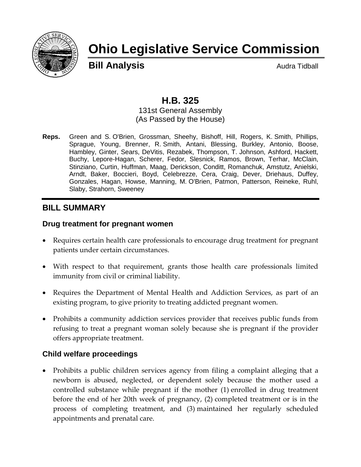

# **Ohio Legislative Service Commission**

**Bill Analysis** Audra Tidball

# **H.B. 325**

131st General Assembly (As Passed by the House)

**Reps.** Green and S. O'Brien, Grossman, Sheehy, Bishoff, Hill, Rogers, K. Smith, Phillips, Sprague, Young, Brenner, R. Smith, Antani, Blessing, Burkley, Antonio, Boose, Hambley, Ginter, Sears, DeVitis, Rezabek, Thompson, T. Johnson, Ashford, Hackett, Buchy, Lepore-Hagan, Scherer, Fedor, Slesnick, Ramos, Brown, Terhar, McClain, Stinziano, Curtin, Huffman, Maag, Derickson, Conditt, Romanchuk, Amstutz, Anielski, Arndt, Baker, Boccieri, Boyd, Celebrezze, Cera, Craig, Dever, Driehaus, Duffey, Gonzales, Hagan, Howse, Manning, M. O'Brien, Patmon, Patterson, Reineke, Ruhl, Slaby, Strahorn, Sweeney

#### **BILL SUMMARY**

#### **Drug treatment for pregnant women**

- Requires certain health care professionals to encourage drug treatment for pregnant patients under certain circumstances.
- With respect to that requirement, grants those health care professionals limited immunity from civil or criminal liability.
- Requires the Department of Mental Health and Addiction Services, as part of an existing program, to give priority to treating addicted pregnant women.
- Prohibits a community addiction services provider that receives public funds from refusing to treat a pregnant woman solely because she is pregnant if the provider offers appropriate treatment.

#### **Child welfare proceedings**

• Prohibits a public children services agency from filing a complaint alleging that a newborn is abused, neglected, or dependent solely because the mother used a controlled substance while pregnant if the mother (1) enrolled in drug treatment before the end of her 20th week of pregnancy, (2) completed treatment or is in the process of completing treatment, and (3) maintained her regularly scheduled appointments and prenatal care.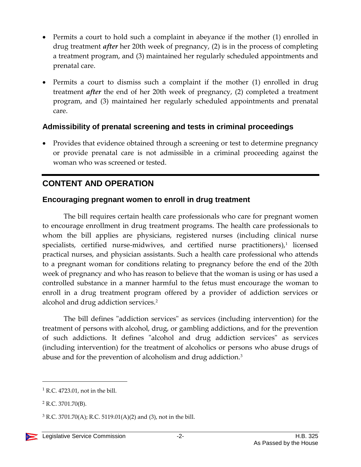- Permits a court to hold such a complaint in abeyance if the mother (1) enrolled in drug treatment *after* her 20th week of pregnancy, (2) is in the process of completing a treatment program, and (3) maintained her regularly scheduled appointments and prenatal care.
- Permits a court to dismiss such a complaint if the mother (1) enrolled in drug treatment *after* the end of her 20th week of pregnancy, (2) completed a treatment program, and (3) maintained her regularly scheduled appointments and prenatal care.

#### **Admissibility of prenatal screening and tests in criminal proceedings**

• Provides that evidence obtained through a screening or test to determine pregnancy or provide prenatal care is not admissible in a criminal proceeding against the woman who was screened or tested.

## **CONTENT AND OPERATION**

#### **Encouraging pregnant women to enroll in drug treatment**

The bill requires certain health care professionals who care for pregnant women to encourage enrollment in drug treatment programs. The health care professionals to whom the bill applies are physicians, registered nurses (including clinical nurse  $s$ pecialists, certified nurse-midwives, and certified nurse practitioners), $1$  licensed practical nurses, and physician assistants. Such a health care professional who attends to a pregnant woman for conditions relating to pregnancy before the end of the 20th week of pregnancy and who has reason to believe that the woman is using or has used a controlled substance in a manner harmful to the fetus must encourage the woman to enroll in a drug treatment program offered by a provider of addiction services or alcohol and drug addiction services.<sup>2</sup>

The bill defines "addiction services" as services (including intervention) for the treatment of persons with alcohol, drug, or gambling addictions, and for the prevention of such addictions. It defines "alcohol and drug addiction services" as services (including intervention) for the treatment of alcoholics or persons who abuse drugs of abuse and for the prevention of alcoholism and drug addiction.<sup>3</sup>

 $\overline{a}$ 

 $<sup>1</sup>$  R.C. 4723.01, not in the bill.</sup>

<sup>2</sup> R.C. 3701.70(B).

 $3$  R.C. 3701.70(A); R.C. 5119.01(A)(2) and (3), not in the bill.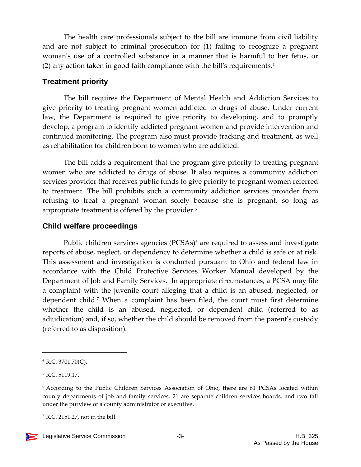The health care professionals subject to the bill are immune from civil liability and are not subject to criminal prosecution for (1) failing to recognize a pregnant woman's use of a controlled substance in a manner that is harmful to her fetus, or (2) any action taken in good faith compliance with the bill's requirements.<sup>4</sup>

#### **Treatment priority**

The bill requires the Department of Mental Health and Addiction Services to give priority to treating pregnant women addicted to drugs of abuse. Under current law, the Department is required to give priority to developing, and to promptly develop, a program to identify addicted pregnant women and provide intervention and continued monitoring. The program also must provide tracking and treatment, as well as rehabilitation for children born to women who are addicted.

The bill adds a requirement that the program give priority to treating pregnant women who are addicted to drugs of abuse. It also requires a community addiction services provider that receives public funds to give priority to pregnant women referred to treatment. The bill prohibits such a community addiction services provider from refusing to treat a pregnant woman solely because she is pregnant, so long as appropriate treatment is offered by the provider.<sup>5</sup>

#### **Child welfare proceedings**

Public children services agencies (PCSAs)<sup>6</sup> are required to assess and investigate reports of abuse, neglect, or dependency to determine whether a child is safe or at risk. This assessment and investigation is conducted pursuant to Ohio and federal law in accordance with the Child Protective Services Worker Manual developed by the Department of Job and Family Services. In appropriate circumstances, a PCSA may file a complaint with the juvenile court alleging that a child is an abused, neglected, or dependent child.<sup>7</sup> When a complaint has been filed, the court must first determine whether the child is an abused, neglected, or dependent child (referred to as adjudication) and, if so, whether the child should be removed from the parent's custody (referred to as disposition).

 $<sup>7</sup>$  R.C. 2151.27, not in the bill.</sup>



 $\overline{a}$ 

 $4$  R.C. 3701.70(C).

<sup>5</sup> R.C. 5119.17.

<sup>6</sup> According to the Public Children Services Association of Ohio, there are 61 PCSAs located within county departments of job and family services, 21 are separate children services boards, and two fall under the purview of a county administrator or executive.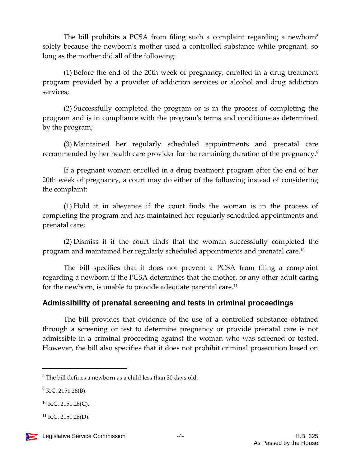The bill prohibits a PCSA from filing such a complaint regarding a newborn $\delta$ solely because the newborn's mother used a controlled substance while pregnant, so long as the mother did all of the following:

(1) Before the end of the 20th week of pregnancy, enrolled in a drug treatment program provided by a provider of addiction services or alcohol and drug addiction services;

(2) Successfully completed the program or is in the process of completing the program and is in compliance with the program's terms and conditions as determined by the program;

(3) Maintained her regularly scheduled appointments and prenatal care recommended by her health care provider for the remaining duration of the pregnancy.<sup>9</sup>

If a pregnant woman enrolled in a drug treatment program after the end of her 20th week of pregnancy, a court may do either of the following instead of considering the complaint:

(1) Hold it in abeyance if the court finds the woman is in the process of completing the program and has maintained her regularly scheduled appointments and prenatal care;

(2) Dismiss it if the court finds that the woman successfully completed the program and maintained her regularly scheduled appointments and prenatal care. $^{\rm 10}$ 

The bill specifies that it does not prevent a PCSA from filing a complaint regarding a newborn if the PCSA determines that the mother, or any other adult caring for the newborn, is unable to provide adequate parental care.<sup>11</sup>

#### **Admissibility of prenatal screening and tests in criminal proceedings**

The bill provides that evidence of the use of a controlled substance obtained through a screening or test to determine pregnancy or provide prenatal care is not admissible in a criminal proceeding against the woman who was screened or tested. However, the bill also specifies that it does not prohibit criminal prosecution based on

 $\overline{a}$ 

 $8$  The bill defines a newborn as a child less than 30 days old.

 $9$  R.C. 2151.26(B).

 $^{10}$  R.C. 2151.26(C).

 $^{11}$  R.C. 2151.26(D).